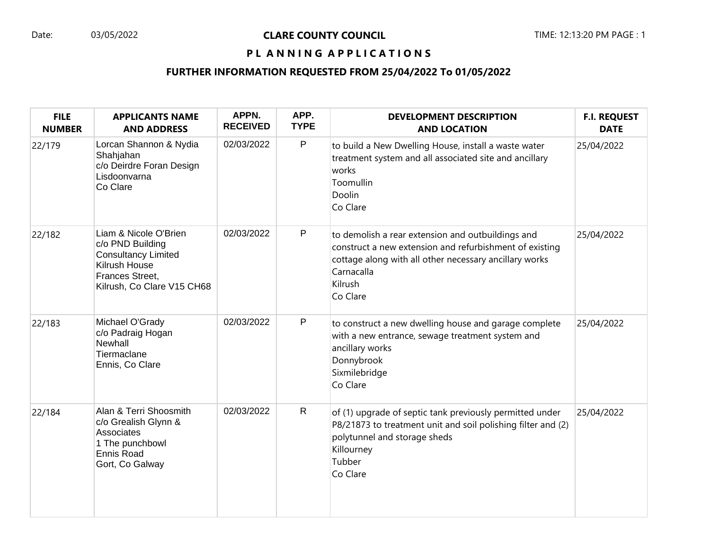#### Date: 03/05/2022 **CLARE COUNTY COUNCIL** TIME: 12:13:20 PM PAGE : 1

## PL ANNING APPLICATIONS

| <b>FILE</b><br><b>NUMBER</b> | <b>APPLICANTS NAME</b><br><b>AND ADDRESS</b>                                                                                              | APPN.<br><b>RECEIVED</b> | APP.<br><b>TYPE</b> | <b>DEVELOPMENT DESCRIPTION</b><br><b>AND LOCATION</b>                                                                                                                                                       | <b>F.I. REQUEST</b><br><b>DATE</b> |
|------------------------------|-------------------------------------------------------------------------------------------------------------------------------------------|--------------------------|---------------------|-------------------------------------------------------------------------------------------------------------------------------------------------------------------------------------------------------------|------------------------------------|
| 22/179                       | Lorcan Shannon & Nydia<br>Shahjahan<br>c/o Deirdre Foran Design<br>Lisdoonvarna<br>Co Clare                                               | 02/03/2022               | P                   | to build a New Dwelling House, install a waste water<br>treatment system and all associated site and ancillary<br>works<br>Toomullin<br>Doolin<br>Co Clare                                                  | 25/04/2022                         |
| 22/182                       | Liam & Nicole O'Brien<br>c/o PND Building<br><b>Consultancy Limited</b><br>Kilrush House<br>Frances Street,<br>Kilrush, Co Clare V15 CH68 | 02/03/2022               | P                   | to demolish a rear extension and outbuildings and<br>construct a new extension and refurbishment of existing<br>cottage along with all other necessary ancillary works<br>Carnacalla<br>Kilrush<br>Co Clare | 25/04/2022                         |
| 22/183                       | Michael O'Grady<br>c/o Padraig Hogan<br>Newhall<br>Tiermaclane<br>Ennis, Co Clare                                                         | 02/03/2022               | P                   | to construct a new dwelling house and garage complete<br>with a new entrance, sewage treatment system and<br>ancillary works<br>Donnybrook<br>Sixmilebridge<br>Co Clare                                     | 25/04/2022                         |
| 22/184                       | Alan & Terri Shoosmith<br>c/o Grealish Glynn &<br>Associates<br>1 The punchbowl<br><b>Ennis Road</b><br>Gort, Co Galway                   | 02/03/2022               | $\mathsf{R}$        | of (1) upgrade of septic tank previously permitted under<br>P8/21873 to treatment unit and soil polishing filter and (2)<br>polytunnel and storage sheds<br>Killourney<br>Tubber<br>Co Clare                | 25/04/2022                         |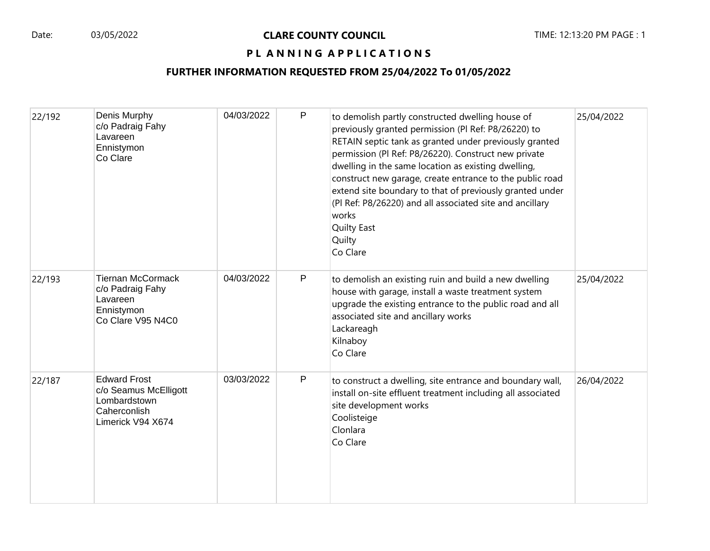| 22/192 | Denis Murphy<br>c/o Padraig Fahy<br>Lavareen<br>Ennistymon<br>Co Clare                            | 04/03/2022 | P | to demolish partly constructed dwelling house of<br>previously granted permission (Pl Ref: P8/26220) to<br>RETAIN septic tank as granted under previously granted<br>permission (Pl Ref: P8/26220). Construct new private<br>dwelling in the same location as existing dwelling,<br>construct new garage, create entrance to the public road<br>extend site boundary to that of previously granted under<br>(PI Ref: P8/26220) and all associated site and ancillary<br>works<br><b>Quilty East</b><br>Quilty<br>Co Clare | 25/04/2022 |
|--------|---------------------------------------------------------------------------------------------------|------------|---|---------------------------------------------------------------------------------------------------------------------------------------------------------------------------------------------------------------------------------------------------------------------------------------------------------------------------------------------------------------------------------------------------------------------------------------------------------------------------------------------------------------------------|------------|
| 22/193 | <b>Tiernan McCormack</b><br>c/o Padraig Fahy<br>Lavareen<br>Ennistymon<br>Co Clare V95 N4C0       | 04/03/2022 | P | to demolish an existing ruin and build a new dwelling<br>house with garage, install a waste treatment system<br>upgrade the existing entrance to the public road and all<br>associated site and ancillary works<br>Lackareagh<br>Kilnaboy<br>Co Clare                                                                                                                                                                                                                                                                     | 25/04/2022 |
| 22/187 | <b>Edward Frost</b><br>c/o Seamus McElligott<br>Lombardstown<br>Caherconlish<br>Limerick V94 X674 | 03/03/2022 | P | to construct a dwelling, site entrance and boundary wall,<br>install on-site effluent treatment including all associated<br>site development works<br>Coolisteige<br>Clonlara<br>Co Clare                                                                                                                                                                                                                                                                                                                                 | 26/04/2022 |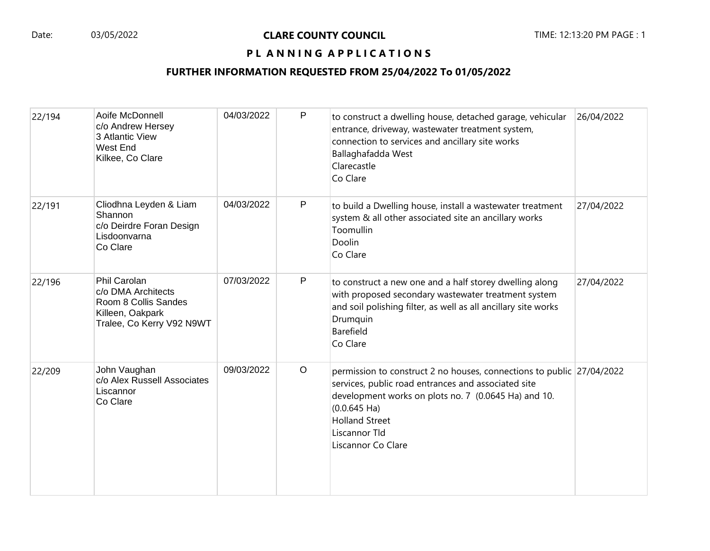| 22/194 | Aoife McDonnell<br>c/o Andrew Hersey<br>3 Atlantic View<br>West End<br>Kilkee, Co Clare                     | 04/03/2022 | P            | to construct a dwelling house, detached garage, vehicular<br>entrance, driveway, wastewater treatment system,<br>connection to services and ancillary site works<br>Ballaghafadda West<br>Clarecastle<br>Co Clare                                                      | 26/04/2022 |
|--------|-------------------------------------------------------------------------------------------------------------|------------|--------------|------------------------------------------------------------------------------------------------------------------------------------------------------------------------------------------------------------------------------------------------------------------------|------------|
| 22/191 | Cliodhna Leyden & Liam<br>Shannon<br>c/o Deirdre Foran Design<br>Lisdoonvarna<br>Co Clare                   | 04/03/2022 | P            | to build a Dwelling house, install a wastewater treatment<br>system & all other associated site an ancillary works<br>Toomullin<br>Doolin<br>Co Clare                                                                                                                  | 27/04/2022 |
| 22/196 | Phil Carolan<br>c/o DMA Architects<br>Room 8 Collis Sandes<br>Killeen, Oakpark<br>Tralee, Co Kerry V92 N9WT | 07/03/2022 | $\mathsf{P}$ | to construct a new one and a half storey dwelling along<br>with proposed secondary wastewater treatment system<br>and soil polishing filter, as well as all ancillary site works<br>Drumquin<br>Barefield<br>Co Clare                                                  | 27/04/2022 |
| 22/209 | John Vaughan<br>c/o Alex Russell Associates<br>Liscannor<br>Co Clare                                        | 09/03/2022 | $\circ$      | permission to construct 2 no houses, connections to public 27/04/2022<br>services, public road entrances and associated site<br>development works on plots no. 7 (0.0645 Ha) and 10.<br>$(0.0.645$ Ha)<br><b>Holland Street</b><br>Liscannor Tld<br>Liscannor Co Clare |            |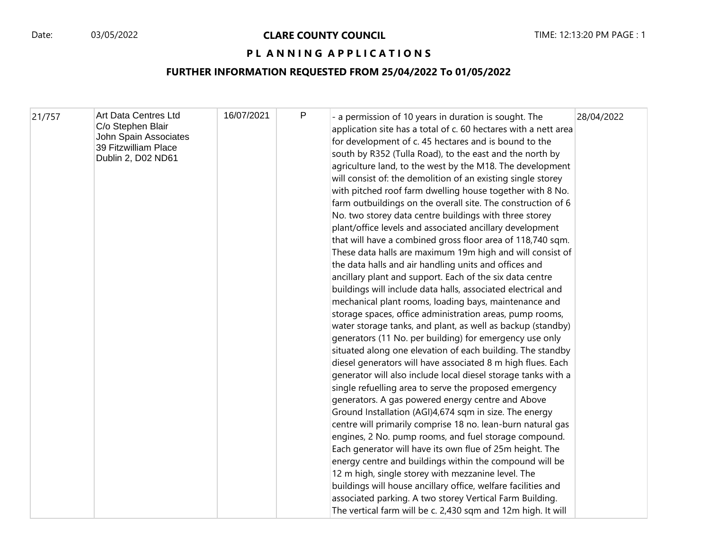| 21/757 | Art Data Centres Ltd<br>C/o Stephen Blair<br>John Spain Associates<br>39 Fitzwilliam Place<br>Dublin 2, D02 ND61 | 16/07/2021 | P | - a permission of 10 years in duration is sought. The<br>application site has a total of c. 60 hectares with a nett area<br>for development of c. 45 hectares and is bound to the<br>south by R352 (Tulla Road), to the east and the north by<br>agriculture land, to the west by the M18. The development<br>will consist of: the demolition of an existing single storey<br>with pitched roof farm dwelling house together with 8 No.<br>farm outbuildings on the overall site. The construction of 6<br>No. two storey data centre buildings with three storey<br>plant/office levels and associated ancillary development<br>that will have a combined gross floor area of 118,740 sqm.<br>These data halls are maximum 19m high and will consist of<br>the data halls and air handling units and offices and<br>ancillary plant and support. Each of the six data centre<br>buildings will include data halls, associated electrical and<br>mechanical plant rooms, loading bays, maintenance and<br>storage spaces, office administration areas, pump rooms,<br>water storage tanks, and plant, as well as backup (standby)<br>generators (11 No. per building) for emergency use only<br>situated along one elevation of each building. The standby<br>diesel generators will have associated 8 m high flues. Each<br>generator will also include local diesel storage tanks with a<br>single refuelling area to serve the proposed emergency<br>generators. A gas powered energy centre and Above<br>Ground Installation (AGI)4,674 sqm in size. The energy<br>centre will primarily comprise 18 no. lean-burn natural gas<br>engines, 2 No. pump rooms, and fuel storage compound.<br>Each generator will have its own flue of 25m height. The<br>energy centre and buildings within the compound will be<br>12 m high, single storey with mezzanine level. The<br>buildings will house ancillary office, welfare facilities and | 28/04/2022 |
|--------|------------------------------------------------------------------------------------------------------------------|------------|---|-------------------------------------------------------------------------------------------------------------------------------------------------------------------------------------------------------------------------------------------------------------------------------------------------------------------------------------------------------------------------------------------------------------------------------------------------------------------------------------------------------------------------------------------------------------------------------------------------------------------------------------------------------------------------------------------------------------------------------------------------------------------------------------------------------------------------------------------------------------------------------------------------------------------------------------------------------------------------------------------------------------------------------------------------------------------------------------------------------------------------------------------------------------------------------------------------------------------------------------------------------------------------------------------------------------------------------------------------------------------------------------------------------------------------------------------------------------------------------------------------------------------------------------------------------------------------------------------------------------------------------------------------------------------------------------------------------------------------------------------------------------------------------------------------------------------------------------------------------------------------------------------------------------------------------------------|------------|
|        |                                                                                                                  |            |   | associated parking. A two storey Vertical Farm Building.<br>The vertical farm will be c. 2,430 sqm and 12m high. It will                                                                                                                                                                                                                                                                                                                                                                                                                                                                                                                                                                                                                                                                                                                                                                                                                                                                                                                                                                                                                                                                                                                                                                                                                                                                                                                                                                                                                                                                                                                                                                                                                                                                                                                                                                                                                  |            |
|        |                                                                                                                  |            |   |                                                                                                                                                                                                                                                                                                                                                                                                                                                                                                                                                                                                                                                                                                                                                                                                                                                                                                                                                                                                                                                                                                                                                                                                                                                                                                                                                                                                                                                                                                                                                                                                                                                                                                                                                                                                                                                                                                                                           |            |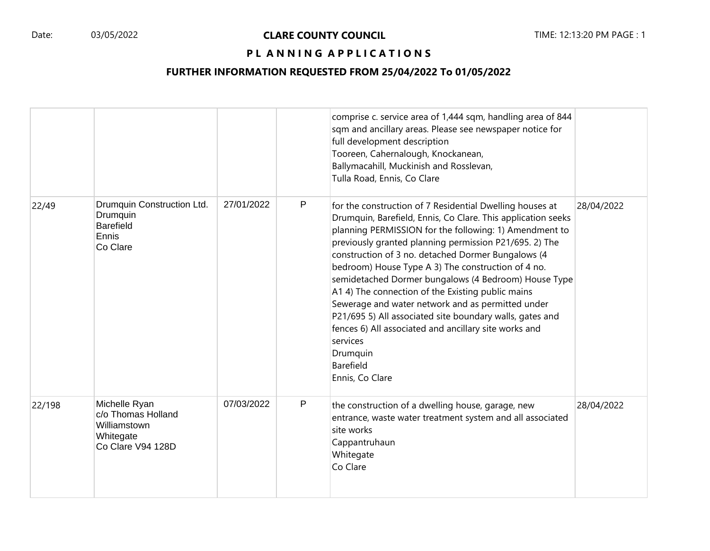|        |                                                                                       |            |   | comprise c. service area of 1,444 sqm, handling area of 844<br>sqm and ancillary areas. Please see newspaper notice for<br>full development description<br>Tooreen, Cahernalough, Knockanean,<br>Ballymacahill, Muckinish and Rosslevan,<br>Tulla Road, Ennis, Co Clare                                                                                                                                                                                                                                                                                                                                                                                                                                 |            |
|--------|---------------------------------------------------------------------------------------|------------|---|---------------------------------------------------------------------------------------------------------------------------------------------------------------------------------------------------------------------------------------------------------------------------------------------------------------------------------------------------------------------------------------------------------------------------------------------------------------------------------------------------------------------------------------------------------------------------------------------------------------------------------------------------------------------------------------------------------|------------|
| 22/49  | Drumquin Construction Ltd.<br>Drumquin<br><b>Barefield</b><br>Ennis<br>Co Clare       | 27/01/2022 | P | for the construction of 7 Residential Dwelling houses at<br>Drumquin, Barefield, Ennis, Co Clare. This application seeks<br>planning PERMISSION for the following: 1) Amendment to<br>previously granted planning permission P21/695. 2) The<br>construction of 3 no. detached Dormer Bungalows (4<br>bedroom) House Type A 3) The construction of 4 no.<br>semidetached Dormer bungalows (4 Bedroom) House Type<br>A1 4) The connection of the Existing public mains<br>Sewerage and water network and as permitted under<br>P21/695 5) All associated site boundary walls, gates and<br>fences 6) All associated and ancillary site works and<br>services<br>Drumquin<br>Barefield<br>Ennis, Co Clare | 28/04/2022 |
| 22/198 | Michelle Ryan<br>c/o Thomas Holland<br>Williamstown<br>Whitegate<br>Co Clare V94 128D | 07/03/2022 | P | the construction of a dwelling house, garage, new<br>entrance, waste water treatment system and all associated<br>site works<br>Cappantruhaun<br>Whitegate<br>Co Clare                                                                                                                                                                                                                                                                                                                                                                                                                                                                                                                                  | 28/04/2022 |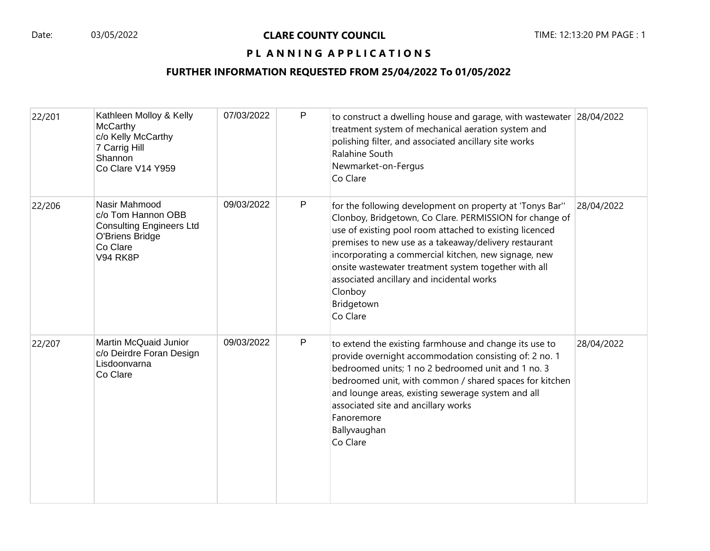| 22/201 | Kathleen Molloy & Kelly<br><b>McCarthy</b><br>c/o Kelly McCarthy<br>7 Carrig Hill<br>Shannon<br>Co Clare V14 Y959        | 07/03/2022 | P            | to construct a dwelling house and garage, with wastewater 28/04/2022<br>treatment system of mechanical aeration system and<br>polishing filter, and associated ancillary site works<br>Ralahine South<br>Newmarket-on-Fergus<br>Co Clare                                                                                                                                                                                                  |            |
|--------|--------------------------------------------------------------------------------------------------------------------------|------------|--------------|-------------------------------------------------------------------------------------------------------------------------------------------------------------------------------------------------------------------------------------------------------------------------------------------------------------------------------------------------------------------------------------------------------------------------------------------|------------|
| 22/206 | Nasir Mahmood<br>c/o Tom Hannon OBB<br><b>Consulting Engineers Ltd</b><br>O'Briens Bridge<br>Co Clare<br><b>V94 RK8P</b> | 09/03/2022 | P            | for the following development on property at 'Tonys Bar"<br>Clonboy, Bridgetown, Co Clare. PERMISSION for change of<br>use of existing pool room attached to existing licenced<br>premises to new use as a takeaway/delivery restaurant<br>incorporating a commercial kitchen, new signage, new<br>onsite wastewater treatment system together with all<br>associated ancillary and incidental works<br>Clonboy<br>Bridgetown<br>Co Clare | 28/04/2022 |
| 22/207 | Martin McQuaid Junior<br>c/o Deirdre Foran Design<br>Lisdoonvarna<br>Co Clare                                            | 09/03/2022 | $\mathsf{P}$ | to extend the existing farmhouse and change its use to<br>provide overnight accommodation consisting of: 2 no. 1<br>bedroomed units; 1 no 2 bedroomed unit and 1 no. 3<br>bedroomed unit, with common / shared spaces for kitchen<br>and lounge areas, existing sewerage system and all<br>associated site and ancillary works<br>Fanoremore<br>Ballyvaughan<br>Co Clare                                                                  | 28/04/2022 |